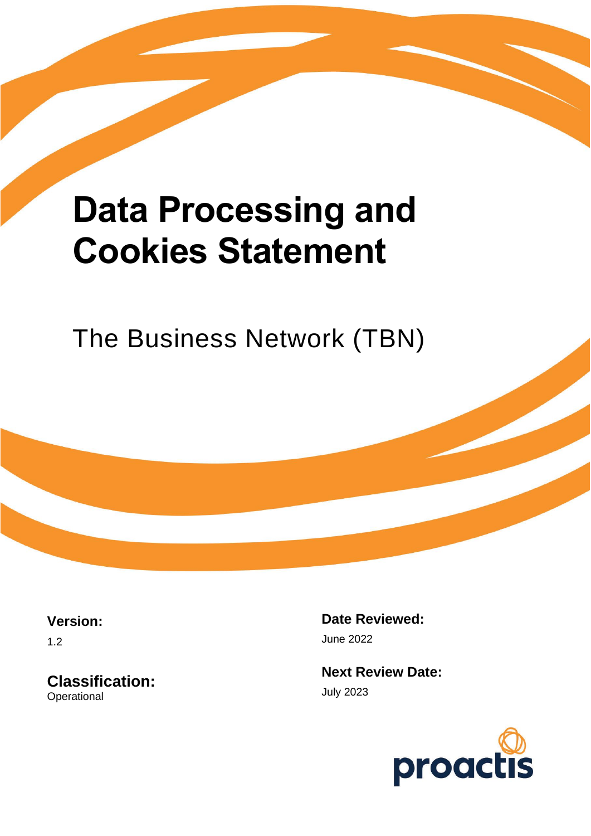# **Data Processing and Cookies Statement**

The Business Network (TBN)

**Version:**

1.2

**Classification: Operational** 

**Date Reviewed:** June 2022

**Next Review Date:** July 2023

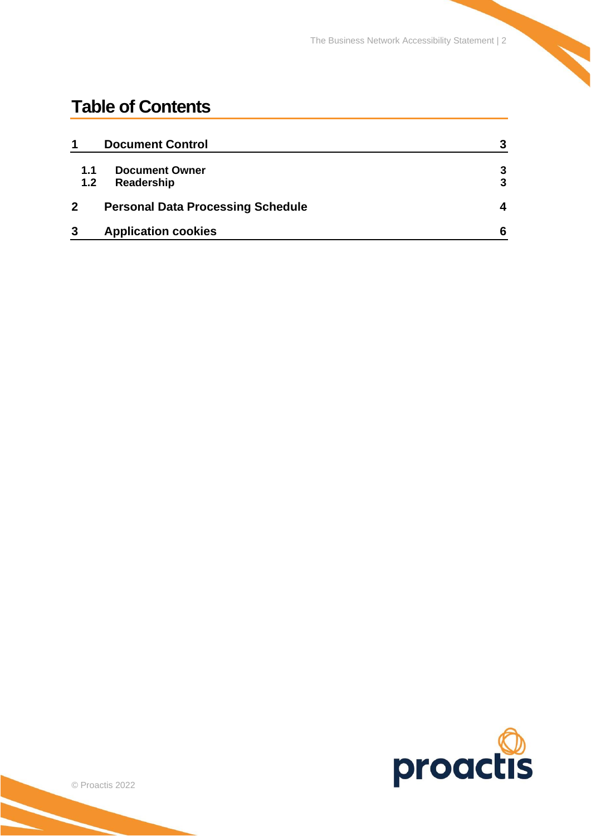The Business Network Accessibility Statement | 2

## **Table of Contents**

|                  | <b>Document Control</b>                  | 3 |
|------------------|------------------------------------------|---|
| 1.1              | <b>Document Owner</b>                    | 3 |
| 1.2 <sub>2</sub> | Readership                               | 3 |
|                  | <b>Personal Data Processing Schedule</b> | 4 |
| 3                | <b>Application cookies</b>               | 6 |

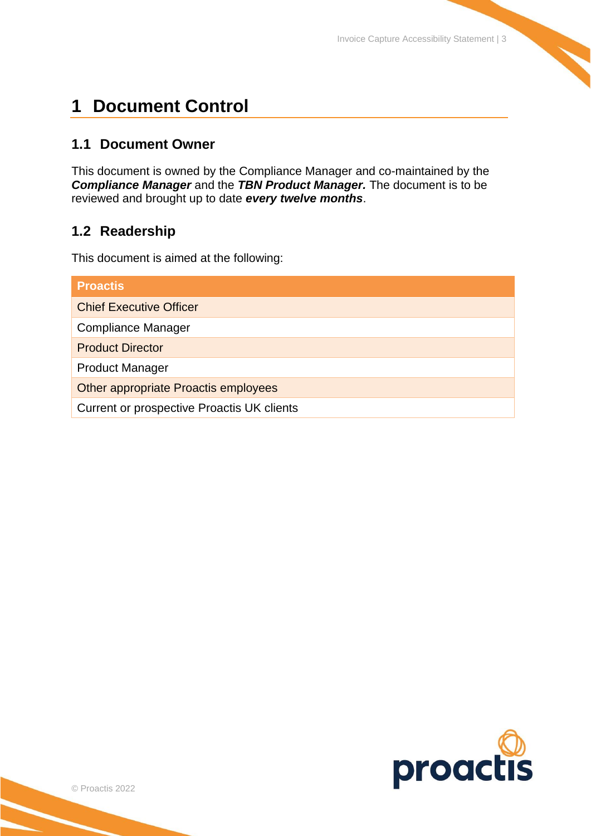## <span id="page-2-0"></span>**1 Document Control**

### <span id="page-2-1"></span>**1.1 Document Owner**

This document is owned by the Compliance Manager and co-maintained by the *Compliance Manager* and the *TBN Product Manager.* The document is to be reviewed and brought up to date *every twelve months*.

## <span id="page-2-2"></span>**1.2 Readership**

This document is aimed at the following:

| <b>Proactis</b>                            |  |  |  |  |
|--------------------------------------------|--|--|--|--|
| <b>Chief Executive Officer</b>             |  |  |  |  |
| <b>Compliance Manager</b>                  |  |  |  |  |
| <b>Product Director</b>                    |  |  |  |  |
| <b>Product Manager</b>                     |  |  |  |  |
| Other appropriate Proactis employees       |  |  |  |  |
| Current or prospective Proactis UK clients |  |  |  |  |

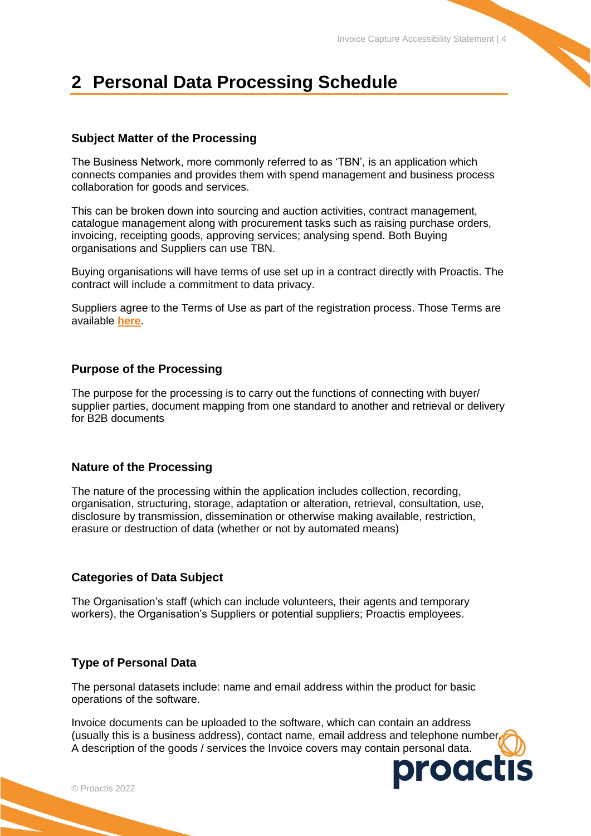## <span id="page-3-0"></span>**2 Personal Data Processing Schedule**

#### **Subject Matter of the Processing**

The Business Network, more commonly referred to as 'TBN', is an application which connects companies and provides them with spend management and business process collaboration for goods and services.

This can be broken down into sourcing and auction activities, contract management, catalogue management along with procurement tasks such as raising purchase orders, invoicing, receipting goods, approving services; analysing spend. Both Buying organisations and Suppliers can use TBN.

Buying organisations will have terms of use set up in a contract directly with Proactis. The contract will include a commitment to data privacy.

Suppliers agree to the Terms of Use as part of the registration process. Those Terms are available **[here](https://portal.hubwoo.com/auth/terms-of-use.pdf)**.

#### **Purpose of the Processing**

The purpose for the processing is to carry out the functions of connecting with buyer/ supplier parties, document mapping from one standard to another and retrieval or delivery for B2B documents

#### **Nature of the Processing**

The nature of the processing within the application includes collection, recording, organisation, structuring, storage, adaptation or alteration, retrieval, consultation, use, disclosure by transmission, dissemination or otherwise making available, restriction, erasure or destruction of data (whether or not by automated means)

#### **Categories of Data Subject**

The Organisation's staff (which can include volunteers, their agents and temporary workers), the Organisation's Suppliers or potential suppliers; Proactis employees.

#### **Type of Personal Data**

The personal datasets include: name and email address within the product for basic operations of the software.

Invoice documents can be uploaded to the software, which can contain an address (usually this is a business address), contact name, email address and telephone number. A description of the goods / services the Invoice covers may contain personal data.

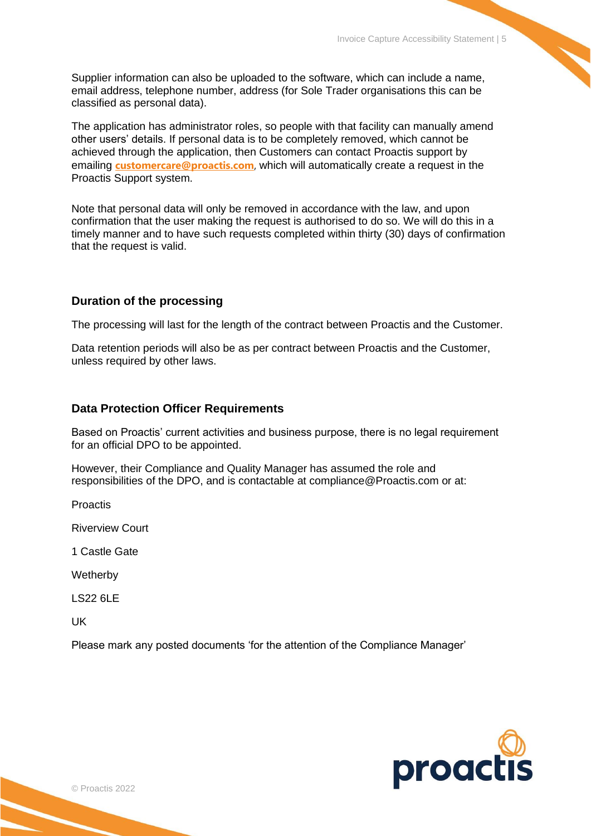Supplier information can also be uploaded to the software, which can include a name, email address, telephone number, address (for Sole Trader organisations this can be classified as personal data).

The application has administrator roles, so people with that facility can manually amend other users' details. If personal data is to be completely removed, which cannot be achieved through the application, then Customers can contact Proactis support by emailing **[customercare@proactis.com](mailto:customercare@proactis.com)**, which will automatically create a request in the Proactis Support system.

Note that personal data will only be removed in accordance with the law, and upon confirmation that the user making the request is authorised to do so. We will do this in a timely manner and to have such requests completed within thirty (30) days of confirmation that the request is valid.

#### **Duration of the processing**

The processing will last for the length of the contract between Proactis and the Customer.

Data retention periods will also be as per contract between Proactis and the Customer, unless required by other laws.

#### **Data Protection Officer Requirements**

Based on Proactis' current activities and business purpose, there is no legal requirement for an official DPO to be appointed.

However, their Compliance and Quality Manager has assumed the role and responsibilities of the DPO, and is contactable at compliance@Proactis.com or at:

Proactis

Riverview Court

1 Castle Gate

**Wetherby** 

LS22 6LE

UK

Please mark any posted documents 'for the attention of the Compliance Manager'

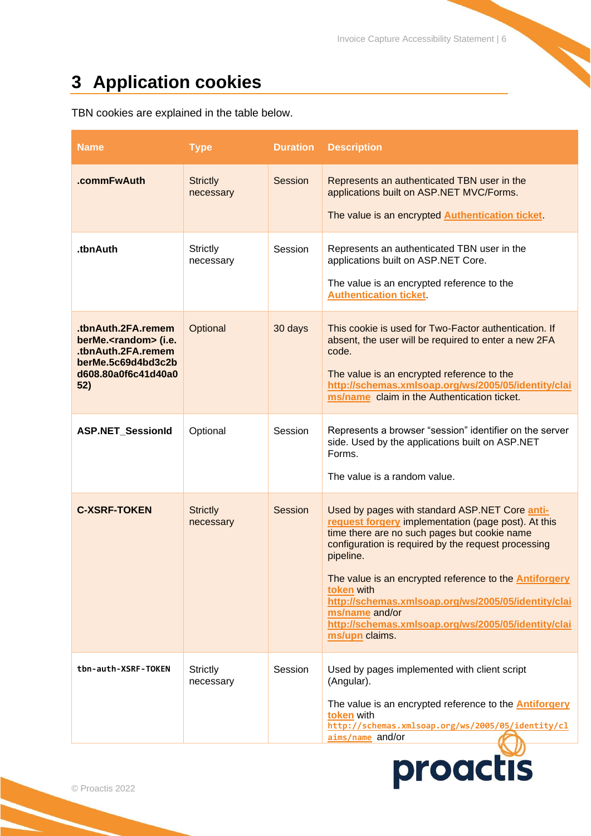# <span id="page-5-0"></span>**3 Application cookies**

TBN cookies are explained in the table below.

| <b>Name</b>                                                                                                                       | <b>Type</b>                  | <b>Duration</b> | <b>Description</b>                                                                                                                                                                                                                                                                                                                                                                                                                                         |
|-----------------------------------------------------------------------------------------------------------------------------------|------------------------------|-----------------|------------------------------------------------------------------------------------------------------------------------------------------------------------------------------------------------------------------------------------------------------------------------------------------------------------------------------------------------------------------------------------------------------------------------------------------------------------|
| .commFwAuth                                                                                                                       | <b>Strictly</b><br>necessary | Session         | Represents an authenticated TBN user in the<br>applications built on ASP.NET MVC/Forms.<br>The value is an encrypted Authentication ticket                                                                                                                                                                                                                                                                                                                 |
| .tbnAuth                                                                                                                          | <b>Strictly</b><br>necessary | Session         | Represents an authenticated TBN user in the<br>applications built on ASP.NET Core.<br>The value is an encrypted reference to the<br><b>Authentication ticket</b>                                                                                                                                                                                                                                                                                           |
| .tbnAuth.2FA.remem<br>berMe. <random>(i.e.<br/>.tbnAuth.2FA.remem<br/>berMe.5c69d4bd3c2b<br/>d608.80a0f6c41d40a0<br/>52)</random> | Optional                     | 30 days         | This cookie is used for Two-Factor authentication. If<br>absent, the user will be required to enter a new 2FA<br>code.<br>The value is an encrypted reference to the<br>http://schemas.xmlsoap.org/ws/2005/05/identity/clai<br>ms/name claim in the Authentication ticket.                                                                                                                                                                                 |
| <b>ASP.NET_SessionId</b>                                                                                                          | Optional                     | Session         | Represents a browser "session" identifier on the server<br>side. Used by the applications built on ASP.NET<br>Forms.<br>The value is a random value.                                                                                                                                                                                                                                                                                                       |
| <b>C-XSRF-TOKEN</b>                                                                                                               | <b>Strictly</b><br>necessary | <b>Session</b>  | Used by pages with standard ASP.NET Core anti-<br>request forgery implementation (page post). At this<br>time there are no such pages but cookie name<br>configuration is required by the request processing<br>pipeline.<br>The value is an encrypted reference to the <b>Antiforgery</b><br>token with<br>http://schemas.xmlsoap.org/ws/2005/05/identity/clai<br>ms/name and/or<br>http://schemas.xmlsoap.org/ws/2005/05/identity/clai<br>ms/upn claims. |
| tbn-auth-XSRF-TOKEN                                                                                                               | <b>Strictly</b><br>necessary | Session         | Used by pages implemented with client script<br>(Angular).<br>The value is an encrypted reference to the <b>Antiforgery</b><br>token with<br>http://schemas.xmlsoap.org/ws/2005/05/identity/cl<br>aims/name and/or                                                                                                                                                                                                                                         |